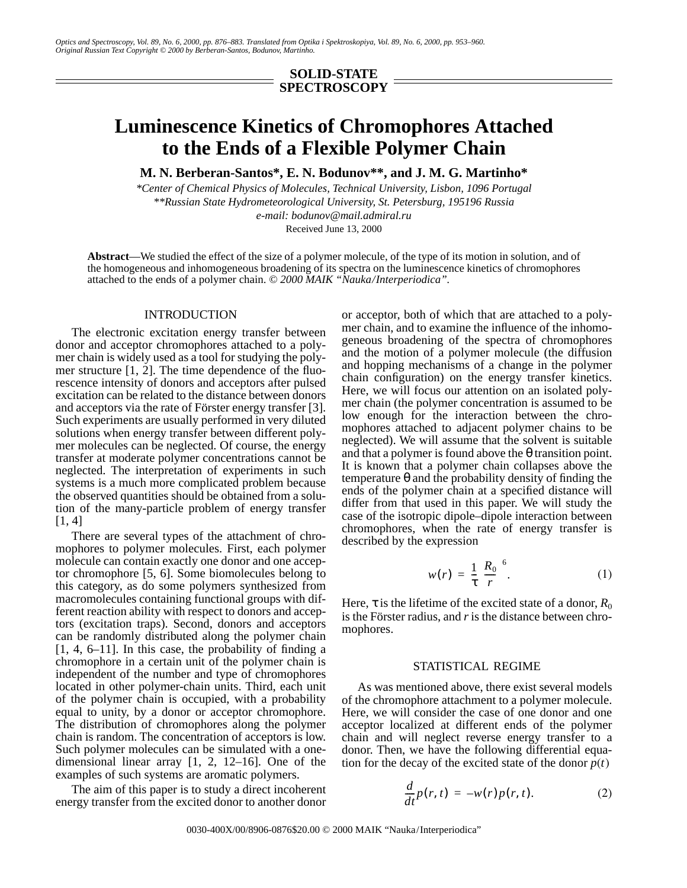# **SOLID-STATE SPECTROSCOPY**

# **Luminescence Kinetics of Chromophores Attached to the Ends of a Flexible Polymer Chain**

**M. N. Berberan-Santos\*, E. N. Bodunov\*\*, and J. M. G. Martinho\***

*\*Center of Chemical Physics of Molecules, Technical University, Lisbon, 1096 Portugal \*\*Russian State Hydrometeorological University, St. Petersburg, 195196 Russia e-mail: bodunov@mail.admiral.ru*

Received June 13, 2000

**Abstract**—We studied the effect of the size of a polymer molecule, of the type of its motion in solution, and of the homogeneous and inhomogeneous broadening of its spectra on the luminescence kinetics of chromophores attached to the ends of a polymer chain. *© 2000 MAIK "Nauka/Interperiodica".*

#### INTRODUCTION

The electronic excitation energy transfer between donor and acceptor chromophores attached to a polymer chain is widely used as a tool for studying the polymer structure [1, 2]. The time dependence of the fluorescence intensity of donors and acceptors after pulsed excitation can be related to the distance between donors and acceptors via the rate of Förster energy transfer [3]. Such experiments are usually performed in very diluted solutions when energy transfer between different polymer molecules can be neglected. Of course, the energy transfer at moderate polymer concentrations cannot be neglected. The interpretation of experiments in such systems is a much more complicated problem because the observed quantities should be obtained from a solution of the many-particle problem of energy transfer  $[1, 4]$ 

There are several types of the attachment of chromophores to polymer molecules. First, each polymer molecule can contain exactly one donor and one acceptor chromophore [5, 6]. Some biomolecules belong to this category, as do some polymers synthesized from macromolecules containing functional groups with different reaction ability with respect to donors and acceptors (excitation traps). Second, donors and acceptors can be randomly distributed along the polymer chain  $[1, 4, 6-11]$ . In this case, the probability of finding a chromophore in a certain unit of the polymer chain is independent of the number and type of chromophores located in other polymer-chain units. Third, each unit of the polymer chain is occupied, with a probability equal to unity, by a donor or acceptor chromophore. The distribution of chromophores along the polymer chain is random. The concentration of acceptors is low. Such polymer molecules can be simulated with a onedimensional linear array [1, 2, 12–16]. One of the examples of such systems are aromatic polymers.

The aim of this paper is to study a direct incoherent energy transfer from the excited donor to another donor or acceptor, both of which that are attached to a polymer chain, and to examine the influence of the inhomogeneous broadening of the spectra of chromophores and the motion of a polymer molecule (the diffusion and hopping mechanisms of a change in the polymer chain configuration) on the energy transfer kinetics. Here, we will focus our attention on an isolated polymer chain (the polymer concentration is assumed to be low enough for the interaction between the chromophores attached to adjacent polymer chains to be neglected). We will assume that the solvent is suitable and that a polymer is found above the  $\theta$  transition point. It is known that a polymer chain collapses above the temperature  $\theta$  and the probability density of finding the ends of the polymer chain at a specified distance will differ from that used in this paper. We will study the case of the isotropic dipole–dipole interaction between chromophores, when the rate of energy transfer is described by the expression

$$
w(r) = \frac{1}{\tau} \left(\frac{R_0}{r}\right)^6. \tag{1}
$$

Here,  $\tau$  is the lifetime of the excited state of a donor,  $R_0$ is the Förster radius, and *r* is the distance between chromophores.

### STATISTICAL REGIME

As was mentioned above, there exist several models of the chromophore attachment to a polymer molecule. Here, we will consider the case of one donor and one acceptor localized at different ends of the polymer chain and will neglect reverse energy transfer to a donor. Then, we have the following differential equation for the decay of the excited state of the donor  $p(t)$ 

$$
\frac{d}{dt}p(r,t) = -w(r)p(r,t).
$$
 (2)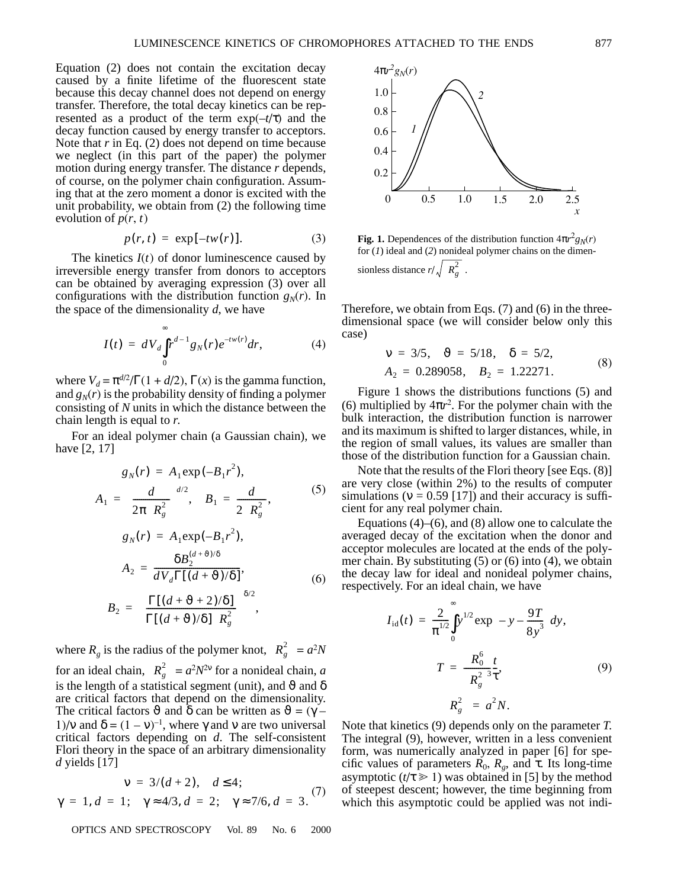Equation (2) does not contain the excitation decay caused by a finite lifetime of the fluorescent state because this decay channel does not depend on energy transfer. Therefore, the total decay kinetics can be represented as a product of the term  $exp(-t/\tau)$  and the decay function caused by energy transfer to acceptors. Note that *r* in Eq. (2) does not depend on time because we neglect (in this part of the paper) the polymer motion during energy transfer. The distance *r* depends, of course, on the polymer chain configuration. Assuming that at the zero moment a donor is excited with the unit probability, we obtain from (2) the following time evolution of  $p(r, t)$ 

$$
p(r, t) = \exp[-tw(r)]. \tag{3}
$$

The kinetics  $I(t)$  of donor luminescence caused by irreversible energy transfer from donors to acceptors can be obtained by averaging expression (3) over all configurations with the distribution function  $g_N(r)$ . In the space of the dimensionality *d*, we have

$$
I(t) = dV_d \int_0^{\infty} r^{d-1} g_N(r) e^{-tw(r)} dr,
$$
 (4)

where  $V_d = \pi^{d/2}/\Gamma(1 + d/2)$ ,  $\Gamma(x)$  is the gamma function, and  $g_N(r)$  is the probability density of finding a polymer consisting of *N* units in which the distance between the chain length is equal to *r*.

For an ideal polymer chain (a Gaussian chain), we have [2, 17]

$$
g_N(r) = A_1 \exp(-B_1 r^2),
$$
  
\n
$$
A_1 = \left(\frac{d}{2\pi \langle R_g^2 \rangle}\right)^{d/2}, \quad B_1 = \frac{d}{2 \langle R_g^2 \rangle},
$$
  
\n
$$
g_N(r) = A_1 \exp(-B_1 r^2),
$$
  
\n
$$
A_2 = \frac{\delta B_2^{(d+\vartheta)/\delta}}{dV_d \Gamma[(d+\vartheta)/\delta]},
$$
  
\n
$$
B_2 = \left\{\frac{\Gamma[(d+\vartheta+2)/\delta]}{\Gamma[(d+\vartheta)/\delta] \langle R_g^2 \rangle}\right\}^{\delta/2},
$$
\n(6)

where  $R_g$  is the radius of the polymer knot,  $\langle R_g^2 \rangle = a^2 N$ for an ideal chain,  $\langle R_g^2 \rangle = a^2 N^{2v}$  for a nonideal chain, *a* is the length of a statistical segment (unit), and  $\vartheta$  and  $\delta$ are critical factors that depend on the dimensionality. The critical factors  $\vartheta$  and  $\delta$  can be written as  $\vartheta = (\gamma - \pi)^2$ 1)/v and  $\delta = (1 - v)^{-1}$ , where γ and v are two universal critical factors depending on *d*. The self-consistent Flori theory in the space of an arbitrary dimensionality

$$
\nu = 3/(d+2), \quad d \le 4; \n\gamma = 1, d = 1; \quad \gamma \approx 4/3, d = 2; \quad \gamma \approx 7/6, d = 3.
$$
\n(7)

*d* yields [17]

OPTICS AND SPECTROSCOPY Vol. 89 No. 6 2000



**Fig. 1.** Dependences of the distribution function  $4\pi r^2 g_N(r)$ for (*1*) ideal and (*2*) nonideal polymer chains on the dimensionless distance  $r/\sqrt{\langle R_g^2 \rangle}$ .

Therefore, we obtain from Eqs. (7) and (6) in the threedimensional space (we will consider below only this case)

$$
\begin{aligned} \mathsf{v} \, &= \, 3/5, \quad \vartheta \, = \, 5/18, \quad \delta \, = \, 5/2, \\ A_2 \, &= \, 0.289058, \quad B_2 \, = \, 1.22271. \end{aligned} \tag{8}
$$

Figure 1 shows the distributions functions (5) and (6) multiplied by  $4\pi r^2$ . For the polymer chain with the bulk interaction, the distribution function is narrower and its maximum is shifted to larger distances, while, in the region of small values, its values are smaller than those of the distribution function for a Gaussian chain.

Note that the results of the Flori theory [see Eqs. (8)] are very close (within 2%) to the results of computer simulations ( $v = 0.59$  [17]) and their accuracy is sufficient for any real polymer chain.

Equations  $(4)$ – $(6)$ , and  $(8)$  allow one to calculate the averaged decay of the excitation when the donor and acceptor molecules are located at the ends of the polymer chain. By substituting (5) or (6) into (4), we obtain the decay law for ideal and nonideal polymer chains, respectively. For an ideal chain, we have

$$
I_{\rm id}(t) = \frac{2}{\pi^{1/2}} \int_0^{\infty} y^{1/2} \exp\left(-y - \frac{9T}{8y^3}\right) dy,
$$
  

$$
T = \frac{R_0^6}{\langle R_g^2 \rangle^3} \frac{t}{\tau},
$$
 (9)  

$$
\langle R_g^2 \rangle = a^2 N.
$$

Note that kinetics (9) depends only on the parameter *T*. The integral (9), however, written in a less convenient form, was numerically analyzed in paper [6] for specific values of parameters  $\overline{R}_0$ ,  $\overline{R}_e$ , and  $\overline{\tau}$ . Its long-time asymptotic  $(t/\tau \ge 1)$  was obtained in [5] by the method of steepest descent; however, the time beginning from which this asymptotic could be applied was not indi-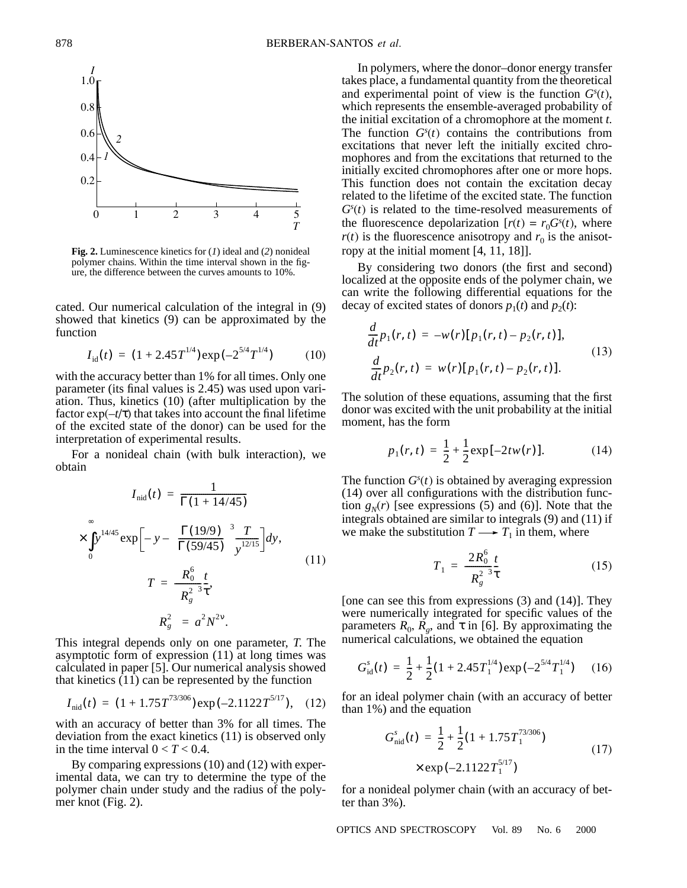

**Fig. 2.** Luminescence kinetics for (*1*) ideal and (*2*) nonideal polymer chains. Within the time interval shown in the figure, the difference between the curves amounts to 10%.

cated. Our numerical calculation of the integral in (9) showed that kinetics (9) can be approximated by the function

$$
I_{\rm id}(t) = (1 + 2.45T^{1/4}) \exp(-2^{5/4}T^{1/4}) \tag{10}
$$

with the accuracy better than 1% for all times. Only one parameter (its final values is 2.45) was used upon variation. Thus, kinetics (10) (after multiplication by the factor  $\exp(-t/\tau)$  that takes into account the final lifetime of the excited state of the donor) can be used for the interpretation of experimental results.

For a nonideal chain (with bulk interaction), we obtain

$$
I_{\text{nid}}(t) = \frac{1}{\Gamma(1 + 14/45)}
$$

$$
\times \int_{0}^{\infty} y^{14/45} \exp\left[-y - \left(\frac{\Gamma(19/9)}{\Gamma(59/45)}\right)^{3} \frac{T}{y^{12/15}}\right] dy,
$$

$$
T = \frac{R_{0}^{6}}{\langle R_{g}^{2} \rangle^{3}} \frac{t}{\tau},
$$

$$
\langle R_{g}^{2} \rangle = a^{2} N^{2v}.
$$
(11)

This integral depends only on one parameter, *T*. The asymptotic form of expression (11) at long times was calculated in paper [5]. Our numerical analysis showed that kinetics (11) can be represented by the function

$$
I_{\rm nid}(t) = (1 + 1.75 T^{73/306}) \exp(-2.1122 T^{5/17}), \quad (12)
$$

with an accuracy of better than 3% for all times. The deviation from the exact kinetics (11) is observed only in the time interval  $0 < T < 0.4$ .

By comparing expressions (10) and (12) with experimental data, we can try to determine the type of the polymer chain under study and the radius of the polymer knot (Fig. 2).

In polymers, where the donor–donor energy transfer takes place, a fundamental quantity from the theoretical and experimental point of view is the function  $G<sup>s</sup>(t)$ , which represents the ensemble-averaged probability of the initial excitation of a chromophore at the moment *t*. The function  $G<sup>s</sup>(t)$  contains the contributions from excitations that never left the initially excited chromophores and from the excitations that returned to the initially excited chromophores after one or more hops. This function does not contain the excitation decay related to the lifetime of the excited state. The function  $G<sup>s</sup>(t)$  is related to the time-resolved measurements of the fluorescence depolarization  $[r(t) = r_0 G<sup>s</sup>(t)$ , where  $r(t)$  is the fluorescence anisotropy and  $r_0$  is the anisotropy at the initial moment [4, 11, 18]].

By considering two donors (the first and second) localized at the opposite ends of the polymer chain, we can write the following differential equations for the decay of excited states of donors  $p_1(t)$  and  $p_2(t)$ :

$$
\frac{d}{dt}p_1(r,t) = -w(r)[p_1(r,t) - p_2(r,t)],
$$
\n
$$
\frac{d}{dt}p_2(r,t) = w(r)[p_1(r,t) - p_2(r,t)].
$$
\n(13)

The solution of these equations, assuming that the first donor was excited with the unit probability at the initial moment, has the form

$$
p_1(r,t) = \frac{1}{2} + \frac{1}{2} \exp[-2tw(r)].
$$
 (14)

The function  $G<sup>s</sup>(t)$  is obtained by averaging expression (14) over all configurations with the distribution function  $g_N(r)$  [see expressions (5) and (6)]. Note that the integrals obtained are similar to integrals (9) and (11) if we make the substitution  $T \longrightarrow T_1$  in them, where

$$
T_1 = \frac{2R_0^6}{\left\langle R_g^2 \right\rangle^3} \frac{t}{\tau}
$$
 (15)

[one can see this from expressions  $(3)$  and  $(14)$ ]. They were numerically integrated for specific values of the parameters  $R_0$ ,  $\dot{R}_e$ , and  $\tau$  in [6]. By approximating the numerical calculations, we obtained the equation

$$
G_{\rm id}^s(t) = \frac{1}{2} + \frac{1}{2}(1 + 2.45T_1^{1/4})\exp(-2^{5/4}T_1^{1/4})\qquad (16)
$$

for an ideal polymer chain (with an accuracy of better than 1%) and the equation

$$
G_{\rm nid}^s(t) = \frac{1}{2} + \frac{1}{2} (1 + 1.75 T_1^{73/306})
$$
  
× exp(-2.1122T<sub>1</sub><sup>5/17</sup>) (17)

for a nonideal polymer chain (with an accuracy of better than 3%).

OPTICS AND SPECTROSCOPY Vol. 89 No. 6 2000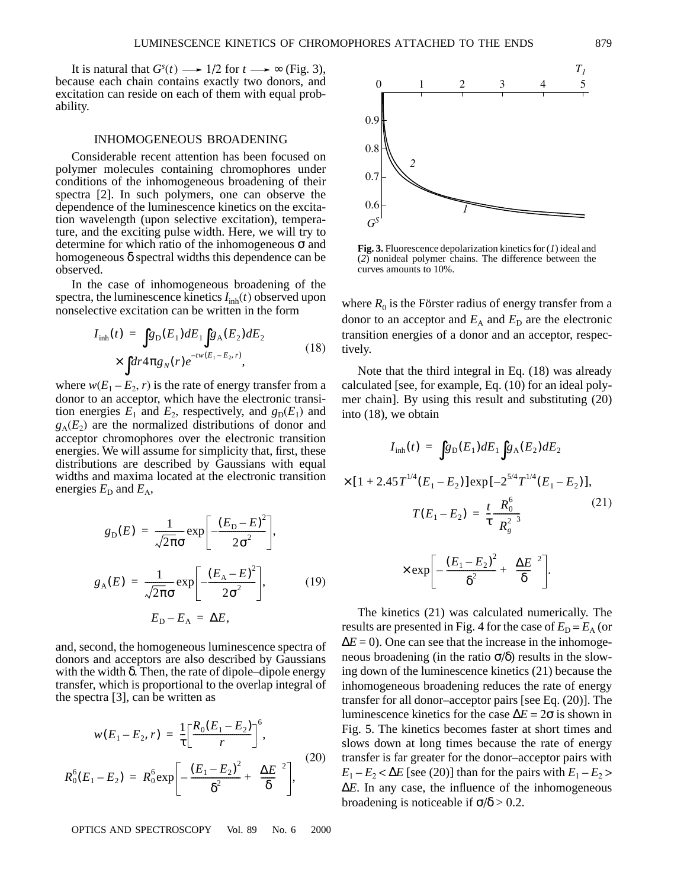It is natural that  $G<sup>s</sup>(t) \longrightarrow 1/2$  for  $t \longrightarrow \infty$  (Fig. 3), because each chain contains exactly two donors, and excitation can reside on each of them with equal probability.

#### INHOMOGENEOUS BROADENING

Considerable recent attention has been focused on polymer molecules containing chromophores under conditions of the inhomogeneous broadening of their spectra [2]. In such polymers, one can observe the dependence of the luminescence kinetics on the excitation wavelength (upon selective excitation), temperature, and the exciting pulse width. Here, we will try to determine for which ratio of the inhomogeneous  $\sigma$  and homogeneous  $\delta$  spectral widths this dependence can be observed.

In the case of inhomogeneous broadening of the spectra, the luminescence kinetics  $I_{\text{inh}}(t)$  observed upon nonselective excitation can be written in the form

$$
I_{\rm inh}(t) = \int g_{\rm D}(E_1) dE_1 \int g_{\rm A}(E_2) dE_2
$$
  
 
$$
\times \int dr^2 \pi g_N(r) e^{-tw(E_1 - E_2, r)},
$$
 (18)

where  $w(E_1 - E_2, r)$  is the rate of energy transfer from a donor to an acceptor, which have the electronic transition energies  $E_1$  and  $E_2$ , respectively, and  $g_D(E_1)$  and  $g_A(E_2)$  are the normalized distributions of donor and acceptor chromophores over the electronic transition energies. We will assume for simplicity that, first, these distributions are described by Gaussians with equal widths and maxima located at the electronic transition energies  $E_D$  and  $E_A$ ,

$$
g_{\rm D}(E) = \frac{1}{\sqrt{2\pi}\sigma} \exp\left[\frac{(E_{\rm D} - E)^2}{2\sigma^2}\right],
$$

$$
g_{\rm A}(E) = \frac{1}{\sqrt{2\pi}\sigma} \exp\left[\frac{(E_{\rm A} - E)^2}{2\sigma^2}\right],
$$
(19)
$$
E_{\rm D} - E_{\rm A} = \Delta E,
$$

and, second, the homogeneous luminescence spectra of donors and acceptors are also described by Gaussians with the width  $\delta$ . Then, the rate of dipole–dipole energy transfer, which is proportional to the overlap integral of the spectra [3], can be written as

$$
w(E_1 - E_2, r) = \frac{1}{\tau} \left[ \frac{R_0 (E_1 - E_2)}{r} \right]^6,
$$
  

$$
R_0^6 (E_1 - E_2) = R_0^6 \exp \left[ -\frac{(E_1 - E_2)^2}{\delta^2} + \left( \frac{\Delta E}{\delta} \right)^2 \right],
$$
 (20)

OPTICS AND SPECTROSCOPY Vol. 89 No. 6 2000



**Fig. 3.** Fluorescence depolarization kinetics for (*1*) ideal and (*2*) nonideal polymer chains. The difference between the curves amounts to 10%.

where  $R_0$  is the Förster radius of energy transfer from a donor to an acceptor and  $E_A$  and  $E_D$  are the electronic transition energies of a donor and an acceptor, respectively.

Note that the third integral in Eq. (18) was already calculated [see, for example, Eq. (10) for an ideal polymer chain]. By using this result and substituting (20) into (18), we obtain

$$
I_{\rm inh}(t) = \int g_{\rm D}(E_1) dE_1 \int g_{\rm A}(E_2) dE_2
$$
  
×[1 + 2.45T<sup>1/4</sup>(E<sub>1</sub> - E<sub>2</sub>)]exp[-2<sup>5/4</sup>T<sup>1/4</sup>(E<sub>1</sub> - E<sub>2</sub>)],  

$$
T(E_1 - E_2) = \frac{t}{\tau} \frac{R_0^6}{\langle R_g^2 \rangle^3}
$$
(21)  
× exp $\left[ -\frac{(E_1 - E_2)^2}{\delta^2} + \left(\frac{\Delta E}{\delta}\right)^2 \right].$ 

The kinetics (21) was calculated numerically. The results are presented in Fig. 4 for the case of  $E_D = E_A$  (or  $\Delta E = 0$ ). One can see that the increase in the inhomogeneous broadening (in the ratio  $\sigma/\delta$ ) results in the slowing down of the luminescence kinetics (21) because the inhomogeneous broadening reduces the rate of energy transfer for all donor–acceptor pairs [see Eq. (20)]. The luminescence kinetics for the case  $\Delta E = 2\sigma$  is shown in Fig. 5. The kinetics becomes faster at short times and slows down at long times because the rate of energy transfer is far greater for the donor–acceptor pairs with  $E_1 - E_2 < \Delta E$  [see (20)] than for the pairs with  $E_1 - E_2$ ∆*E*. In any case, the influence of the inhomogeneous broadening is noticeable if  $\sigma/\delta > 0.2$ .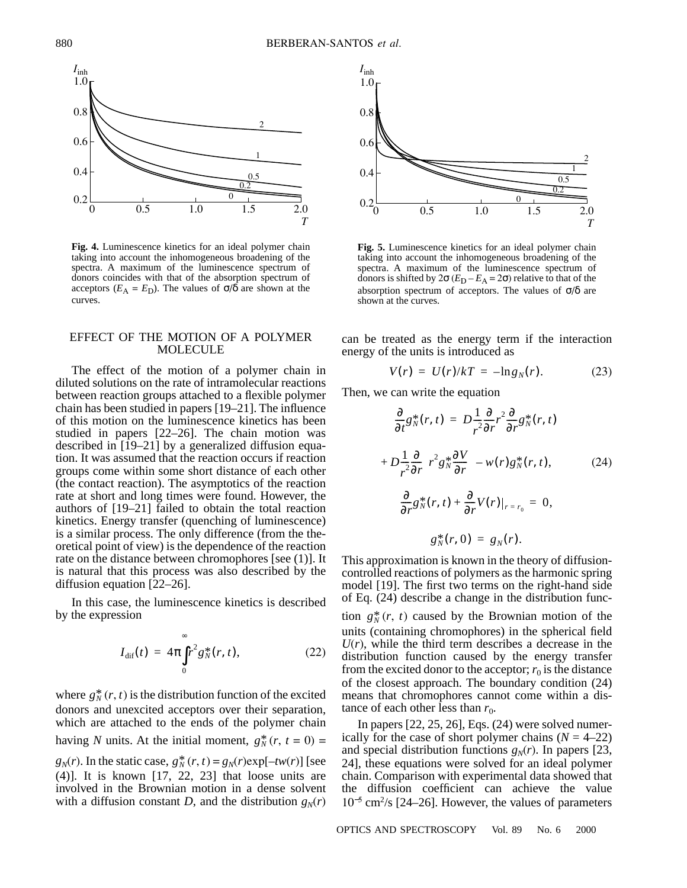

**Fig. 4.** Luminescence kinetics for an ideal polymer chain taking into account the inhomogeneous broadening of the spectra. A maximum of the luminescence spectrum of donors coincides with that of the absorption spectrum of acceptors  $(E_A = E_D)$ . The values of  $\sigma/\delta$  are shown at the curves.

#### EFFECT OF THE MOTION OF A POLYMER MOLECULE

The effect of the motion of a polymer chain in diluted solutions on the rate of intramolecular reactions between reaction groups attached to a flexible polymer chain has been studied in papers [19–21]. The influence of this motion on the luminescence kinetics has been studied in papers [22–26]. The chain motion was described in [19–21] by a generalized diffusion equation. It was assumed that the reaction occurs if reaction groups come within some short distance of each other (the contact reaction). The asymptotics of the reaction rate at short and long times were found. However, the authors of [19–21] failed to obtain the total reaction kinetics. Energy transfer (quenching of luminescence) is a similar process. The only difference (from the theoretical point of view) is the dependence of the reaction rate on the distance between chromophores [see (1)]. It is natural that this process was also described by the diffusion equation [22–26].

In this case, the luminescence kinetics is described by the expression

$$
I_{\text{dif}}(t) = 4\pi \int_{0}^{\infty} r^2 g_N^*(r, t), \qquad (22)
$$

where  $g_N^*(r, t)$  is the distribution function of the excited donors and unexcited acceptors over their separation, which are attached to the ends of the polymer chain having *N* units. At the initial moment,  $g_N^*(r, t = 0)$  =  $g_N(r)$ . In the static case,  $g_N^*(r, t) = g_N(r) \exp[-tw(r)]$  [see (4)]. It is known [17, 22, 23] that loose units are involved in the Brownian motion in a dense solvent

with a diffusion constant *D*, and the distribution  $g_N(r)$ 



**Fig. 5.** Luminescence kinetics for an ideal polymer chain taking into account the inhomogeneous broadening of the spectra. A maximum of the luminescence spectrum of donors is shifted by  $2\sigma(E_D - E_A = 2\sigma)$  relative to that of the absorption spectrum of acceptors. The values of  $\sigma/\delta$  are shown at the curves.

can be treated as the energy term if the interaction energy of the units is introduced as

$$
V(r) = U(r)/kT = -\ln g_N(r). \qquad (23)
$$

Then, we can write the equation

$$
\frac{\partial}{\partial t}g_N^*(r,t) = D\frac{1}{r^2}\frac{\partial}{\partial r}r^2\frac{\partial}{\partial r}g_N^*(r,t)
$$
  
+ 
$$
D\frac{1}{r^2}\frac{\partial}{\partial r}\left(r^2g_N^*\frac{\partial V}{\partial r}\right) - w(r)g_N^*(r,t),
$$
 (24)  

$$
\frac{\partial}{\partial r}g_N^*(r,t) + \frac{\partial}{\partial r}V(r)|_{r=r_0} = 0,
$$
  

$$
g_N^*(r,0) = g_N(r).
$$

This approximation is known in the theory of diffusioncontrolled reactions of polymers as the harmonic spring model [19]. The first two terms on the right-hand side of Eq. (24) describe a change in the distribution func-

tion  $g_N^*(r, t)$  caused by the Brownian motion of the units (containing chromophores) in the spherical field  $U(r)$ , while the third term describes a decrease in the distribution function caused by the energy transfer from the excited donor to the acceptor;  $r_0$  is the distance of the closest approach. The boundary condition (24) means that chromophores cannot come within a distance of each other less than  $r_0$ .

In papers [22, 25, 26], Eqs. (24) were solved numerically for the case of short polymer chains  $(N = 4-22)$ and special distribution functions  $g_N(r)$ . In papers [23, 24], these equations were solved for an ideal polymer chain. Comparison with experimental data showed that the diffusion coefficient can achieve the value 10<sup>−</sup><sup>5</sup> cm2 /s [24–26]. However, the values of parameters

880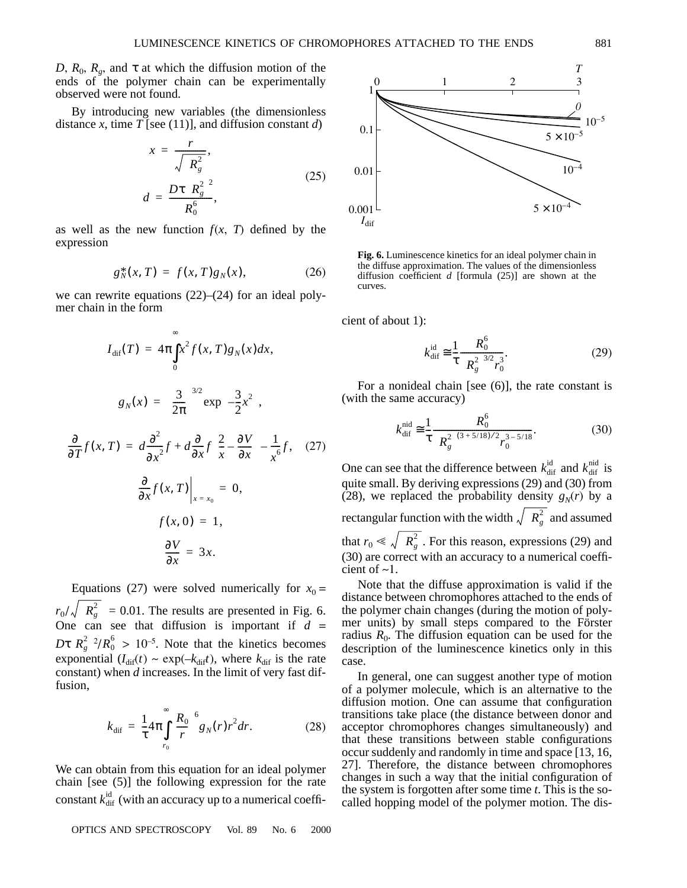*D*,  $R_0$ ,  $R_g$ , and τ at which the diffusion motion of the ends of the polymer chain can be experimentally observed were not found.

By introducing new variables (the dimensionless distance *x*, time *T* [see (11)], and diffusion constant *d*)

$$
x = \frac{r}{\sqrt{\langle R_g^2 \rangle}},
$$
  
\n
$$
d = \frac{D\tau \langle R_g^2 \rangle^2}{R_0^6},
$$
\n(25)

as well as the new function  $f(x, T)$  defined by the expression

$$
g_N^*(x, T) = f(x, T)g_N(x), \qquad (26)
$$

we can rewrite equations (22)–(24) for an ideal polymer chain in the form

$$
I_{\text{dif}}(T) = 4\pi \int_{0}^{\infty} x^{2} f(x, T) g_{N}(x) dx,
$$

$$
g_{N}(x) = \left(\frac{3}{2\pi}\right)^{3/2} \exp\left(-\frac{3}{2}x^{2}\right),
$$

$$
\frac{\partial}{\partial T} f(x, T) = d \frac{\partial^{2}}{\partial x^{2}} f + d \frac{\partial}{\partial x} f\left(\frac{2}{x} - \frac{\partial V}{\partial x}\right) - \frac{1}{x^{6}} f, \quad (27)
$$

$$
\frac{\partial}{\partial x} f(x, T) \Big|_{x = x_{0}} = 0,
$$

$$
f(x, 0) = 1,
$$

$$
\frac{\partial V}{\partial x} = 3x.
$$

Equations (27) were solved numerically for  $x_0 =$  $r_0 / \sqrt{\langle R_g^2 \rangle} = 0.01$ . The results are presented in Fig. 6. One can see that diffusion is important if  $d =$  $D\tau \langle R_g^2 \rangle^2 / R_0^6 > 10^{-5}$ . Note that the kinetics becomes exponential  $(I_{\text{dif}}(t) \sim \exp(-k_{\text{dif}}t)$ , where  $k_{\text{dif}}$  is the rate constant) when *d* increases. In the limit of very fast diffusion,  $\langle R_{g}^{2} \rangle$ 

$$
k_{\text{dif}} = \frac{1}{\tau} 4\pi \int_{r_0}^{\infty} \left(\frac{R_0}{r}\right)^6 g_N(r) r^2 dr. \tag{28}
$$

We can obtain from this equation for an ideal polymer chain [see (5)] the following expression for the rate constant  $k_{\mathrm{dif}}^{\mathrm{id}}$  (with an accuracy up to a numerical coeffi-

OPTICS AND SPECTROSCOPY Vol. 89 No. 6 2000



**Fig. 6.** Luminescence kinetics for an ideal polymer chain in the diffuse approximation. The values of the dimensionless diffusion coefficient *d* [formula (25)] are shown at the curves.

cient of about 1):

$$
k_{\rm dif}^{\rm id} \cong \frac{1}{\tau} \frac{R_0^6}{\langle R_g^2 \rangle^{3/2} r_0^3}.
$$
 (29)

For a nonideal chain [see (6)], the rate constant is (with the same accuracy)

$$
k_{\rm dif}^{\rm nid} \cong \frac{1}{\tau} \frac{R_0^6}{\langle R_g^2 \rangle^{(3+5/18)/2} r_0^{3-5/18}}.
$$
 (30)

One can see that the difference between  $k_{\text{dif}}^{\text{id}}$  and  $k_{\text{dif}}^{\text{nid}}$  is quite small. By deriving expressions (29) and (30) from (28), we replaced the probability density  $g_N(r)$  by a rectangular function with the width  $\sqrt{\langle R_g^2\rangle}$  and assumed that  $r_0 \ll \sqrt{\langle R_g^2 \rangle}$ . For this reason, expressions (29) and (30) are correct with an accuracy to a numerical coefficient of ~1.

Note that the diffuse approximation is valid if the distance between chromophores attached to the ends of the polymer chain changes (during the motion of polymer units) by small steps compared to the Förster radius  $R_0$ . The diffusion equation can be used for the description of the luminescence kinetics only in this case.

In general, one can suggest another type of motion of a polymer molecule, which is an alternative to the diffusion motion. One can assume that configuration transitions take place (the distance between donor and acceptor chromophores changes simultaneously) and that these transitions between stable configurations occur suddenly and randomly in time and space [13, 16, 27]. Therefore, the distance between chromophores changes in such a way that the initial configuration of the system is forgotten after some time *t*. This is the socalled hopping model of the polymer motion. The dis-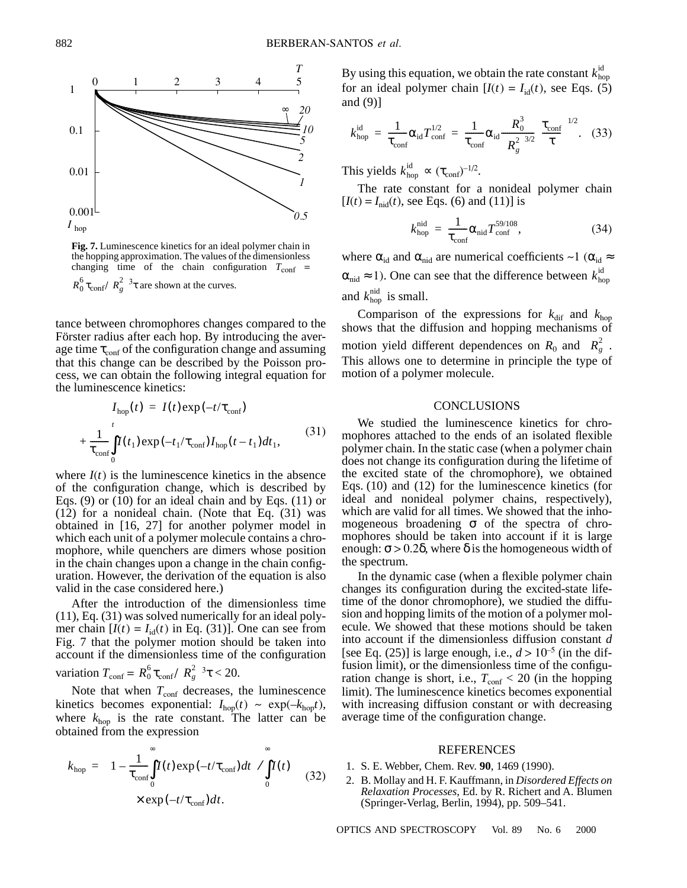

**Fig. 7.** Luminescence kinetics for an ideal polymer chain in the hopping approximation. The values of the dimensionless changing time of the chain configuration  $T_{\text{conf}}$  =  $R_0^6 \tau_{\text{conf}} / \langle R_g^2 \rangle^3 \tau$  are shown at the curves.

tance between chromophores changes compared to the Förster radius after each hop. By introducing the average time  $\tau_{conf}$  of the configuration change and assuming that this change can be described by the Poisson process, we can obtain the following integral equation for the luminescence kinetics:

$$
I_{\text{hop}}(t) = I(t) \exp(-t/\tau_{\text{conf}})
$$

$$
+ \frac{1}{\tau_{\text{conf}}} \int_{0}^{t} I(t_1) \exp(-t_1/\tau_{\text{conf}}) I_{\text{hop}}(t - t_1) dt_1,
$$
(31)

where  $I(t)$  is the luminescence kinetics in the absence of the configuration change, which is described by Eqs. (9) or (10) for an ideal chain and by Eqs. (11) or  $(1\bar{2})$  for a nonideal chain. (Note that Eq.  $(31)$  was obtained in [16, 27] for another polymer model in which each unit of a polymer molecule contains a chromophore, while quenchers are dimers whose position in the chain changes upon a change in the chain configuration. However, the derivation of the equation is also valid in the case considered here.)

After the introduction of the dimensionless time (11), Eq. (31) was solved numerically for an ideal polymer chain  $[I(t) = I_{\text{id}}(t)$  in Eq. (31)]. One can see from Fig. 7 that the polymer motion should be taken into account if the dimensionless time of the configuration variation  $T_{\text{conf}} = R_0^6 \tau_{\text{conf}} / \langle R_g^2 \rangle^3 \tau < 20$ .

Note that when  $T_{\text{conf}}$  decreases, the luminescence kinetics becomes exponential:  $I_{\text{hop}}(t) \sim \exp(-k_{\text{hop}}t)$ , where  $k_{\text{hop}}$  is the rate constant. The latter can be obtained from the expression

$$
k_{\text{hop}} = \left(1 - \frac{1}{\tau_{\text{conf}}}\int_{0}^{\infty} I(t) \exp(-t/\tau_{\text{conf}})dt\right) \int_{0}^{\infty} I(t) \tag{32}
$$

$$
\times \exp(-t/\tau_{\text{conf}})dt.
$$

By using this equation, we obtain the rate constant  $k_{\rm hop}^{\rm id}$ for an ideal polymer chain  $[I(t) = I_{id}(t)]$ , see Eqs. (5) and (9)]

$$
k_{\rm hop}^{\rm id} = \frac{1}{\tau_{\rm conf}} \alpha_{\rm id} T_{\rm conf}^{1/2} = \frac{1}{\tau_{\rm conf}} \alpha_{\rm id} \frac{R_0^3}{\langle R_g^2 \rangle^{3/2}} \left(\frac{\tau_{\rm conf}}{\tau}\right)^{1/2}.
$$
 (33)

This yields  $k_{\text{hop}}^{\text{id}} \propto (\tau_{\text{conf}})^{-1/2}$ .

The rate constant for a nonideal polymer chain  $[I(t) = I_{\text{nid}}(t)$ , see Eqs. (6) and (11)] is

$$
k_{\rm hop}^{\rm nid} = \frac{1}{\tau_{\rm conf}} \alpha_{\rm nid} T_{\rm conf}^{59/108},\tag{34}
$$

where  $\alpha_{id}$  and  $\alpha_{nid}$  are numerical coefficients ~1 ( $\alpha_{id} \approx$  $\alpha_{\text{nid}} \approx 1$ ). One can see that the difference between  $k_{\text{hop}}^{\text{id}}$ and  $k_{\text{hop}}^{\text{nid}}$  is small.

Comparison of the expressions for  $k_{\text{dif}}$  and  $k_{\text{hop}}$ shows that the diffusion and hopping mechanisms of motion yield different dependences on  $R_0$  and  $\langle R_g^2 \rangle$ . This allows one to determine in principle the type of motion of a polymer molecule.

## CONCLUSIONS

We studied the luminescence kinetics for chromophores attached to the ends of an isolated flexible polymer chain. In the static case (when a polymer chain does not change its configuration during the lifetime of the excited state of the chromophore), we obtained Eqs. (10) and (12) for the luminescence kinetics (for ideal and nonideal polymer chains, respectively), which are valid for all times. We showed that the inhomogeneous broadening  $\sigma$  of the spectra of chromophores should be taken into account if it is large enough:  $\sigma$  > 0.2 $\delta$ , where  $\delta$  is the homogeneous width of the spectrum.

In the dynamic case (when a flexible polymer chain changes its configuration during the excited-state lifetime of the donor chromophore), we studied the diffusion and hopping limits of the motion of a polymer molecule. We showed that these motions should be taken into account if the dimensionless diffusion constant *d* [see Eq.  $(25)$ ] is large enough, i.e.,  $d > 10^{-5}$  (in the diffusion limit), or the dimensionless time of the configuration change is short, i.e.,  $T_{\text{conf}} < 20$  (in the hopping limit). The luminescence kinetics becomes exponential with increasing diffusion constant or with decreasing average time of the configuration change.

#### REFERENCES

- 1. S. E. Webber, Chem. Rev. **90**, 1469 (1990).
- 2. B. Mollay and H. F. Kauffmann, in *Disordered Effects on Relaxation Processes*, Ed. by R. Richert and A. Blumen (Springer-Verlag, Berlin, 1994), pp. 509–541.

OPTICS AND SPECTROSCOPY Vol. 89 No. 6 2000